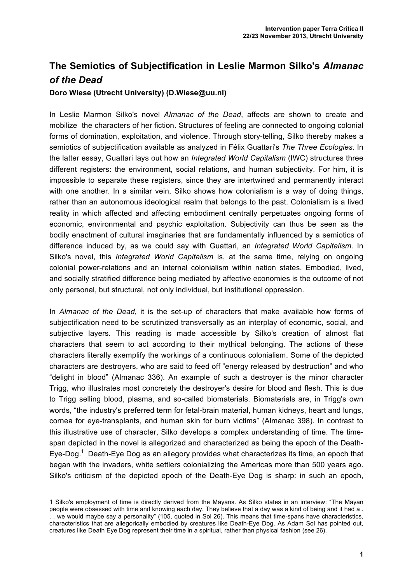## **The Semiotics of Subjectification in Leslie Marmon Silko's** *Almanac of the Dead*

## **Doro Wiese (Utrecht University) (D.Wiese@uu.nl)**

In Leslie Marmon Silko's novel *Almanac of the Dead*, affects are shown to create and mobilize the characters of her fiction. Structures of feeling are connected to ongoing colonial forms of domination, exploitation, and violence. Through story-telling, Silko thereby makes a semiotics of subjectification available as analyzed in Félix Guattari's *The Three Ecologies*. In the latter essay, Guattari lays out how an *Integrated World Capitalism* (IWC) structures three different registers: the environment, social relations, and human subjectivity. For him, it is impossible to separate these registers, since they are intertwined and permanently interact with one another. In a similar vein, Silko shows how colonialism is a way of doing things, rather than an autonomous ideological realm that belongs to the past. Colonialism is a lived reality in which affected and affecting embodiment centrally perpetuates ongoing forms of economic, environmental and psychic exploitation. Subjectivity can thus be seen as the bodily enactment of cultural imaginaries that are fundamentally influenced by a semiotics of difference induced by, as we could say with Guattari, an *Integrated World Capitalism.* In Silko's novel, this *Integrated World Capitalism* is, at the same time, relying on ongoing colonial power-relations and an internal colonialism within nation states. Embodied, lived, and socially stratified difference being mediated by affective economies is the outcome of not only personal, but structural, not only individual, but institutional oppression.

In *Almanac of the Dead*, it is the set-up of characters that make available how forms of subjectification need to be scrutinized transversally as an interplay of economic, social, and subjective layers. This reading is made accessible by Silko's creation of almost flat characters that seem to act according to their mythical belonging. The actions of these characters literally exemplify the workings of a continuous colonialism. Some of the depicted characters are destroyers, who are said to feed off "energy released by destruction" and who "delight in blood" (Almanac 336). An example of such a destroyer is the minor character Trigg, who illustrates most concretely the destroyer's desire for blood and flesh. This is due to Trigg selling blood, plasma, and so-called biomaterials. Biomaterials are, in Trigg's own words, "the industry's preferred term for fetal-brain material, human kidneys, heart and lungs, cornea for eye-transplants, and human skin for burn victims" (Almanac 398). In contrast to this illustrative use of character, Silko develops a complex understanding of time. The timespan depicted in the novel is allegorized and characterized as being the epoch of the Death-Eye-Dog.<sup>1</sup> Death-Eye Dog as an allegory provides what characterizes its time, an epoch that began with the invaders, white settlers colonializing the Americas more than 500 years ago. Silko's criticism of the depicted epoch of the Death-Eye Dog is sharp: in such an epoch,

 $\overline{a}$ 

<sup>1</sup> Silko's employment of time is directly derived from the Mayans. As Silko states in an interview: "The Mayan people were obsessed with time and knowing each day. They believe that a day was a kind of being and it had a . . . we would maybe say a personality" (105, quoted in Sol 26). This means that time-spans have characteristics, characteristics that are allegorically embodied by creatures like Death-Eye Dog. As Adam Sol has pointed out, creatures like Death Eye Dog represent their time in a spiritual, rather than physical fashion (see 26).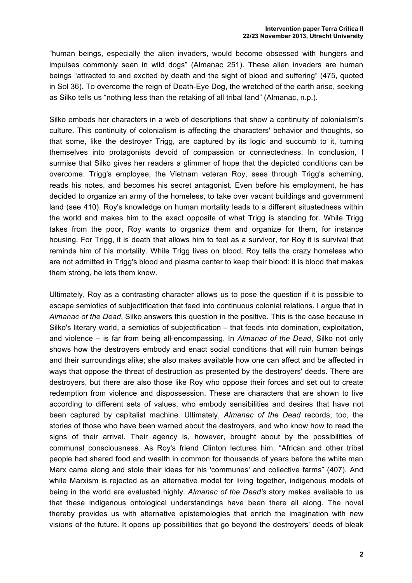"human beings, especially the alien invaders, would become obsessed with hungers and impulses commonly seen in wild dogs" (Almanac 251). These alien invaders are human beings "attracted to and excited by death and the sight of blood and suffering" (475, quoted in Sol 36). To overcome the reign of Death-Eye Dog, the wretched of the earth arise, seeking as Silko tells us "nothing less than the retaking of all tribal land" (Almanac, n.p.).

Silko embeds her characters in a web of descriptions that show a continuity of colonialism's culture. This continuity of colonialism is affecting the characters' behavior and thoughts, so that some, like the destroyer Trigg, are captured by its logic and succumb to it, turning themselves into protagonists devoid of compassion or connectedness. In conclusion, I surmise that Silko gives her readers a glimmer of hope that the depicted conditions can be overcome. Trigg's employee, the Vietnam veteran Roy, sees through Trigg's scheming, reads his notes, and becomes his secret antagonist. Even before his employment, he has decided to organize an army of the homeless, to take over vacant buildings and government land (see 410). Roy's knowledge on human mortality leads to a different situatedness within the world and makes him to the exact opposite of what Trigg is standing for. While Trigg takes from the poor, Roy wants to organize them and organize for them, for instance housing. For Trigg, it is death that allows him to feel as a survivor, for Roy it is survival that reminds him of his mortality. While Trigg lives on blood, Roy tells the crazy homeless who are not admitted in Trigg's blood and plasma center to keep their blood: it is blood that makes them strong, he lets them know.

Ultimately, Roy as a contrasting character allows us to pose the question if it is possible to escape semiotics of subjectification that feed into continuous colonial relations. I argue that in *Almanac of the Dead*, Silko answers this question in the positive. This is the case because in Silko's literary world, a semiotics of subjectification – that feeds into domination, exploitation, and violence – is far from being all-encompassing. In *Almanac of the Dead*, Silko not only shows how the destroyers embody and enact social conditions that will ruin human beings and their surroundings alike; she also makes available how one can affect and be affected in ways that oppose the threat of destruction as presented by the destroyers' deeds. There are destroyers, but there are also those like Roy who oppose their forces and set out to create redemption from violence and dispossession. These are characters that are shown to live according to different sets of values, who embody sensibilities and desires that have not been captured by capitalist machine. Ultimately, *Almanac of the Dead* records, too, the stories of those who have been warned about the destroyers, and who know how to read the signs of their arrival. Their agency is, however, brought about by the possibilities of communal consciousness. As Roy's friend Clinton lectures him, "African and other tribal people had shared food and wealth in common for thousands of years before the white man Marx came along and stole their ideas for his 'communes' and collective farms" (407). And while Marxism is rejected as an alternative model for living together, indigenous models of being in the world are evaluated highly. *Almanac of the Dead's* story makes available to us that these indigenous ontological understandings have been there all along. The novel thereby provides us with alternative epistemologies that enrich the imagination with new visions of the future. It opens up possibilities that go beyond the destroyers' deeds of bleak